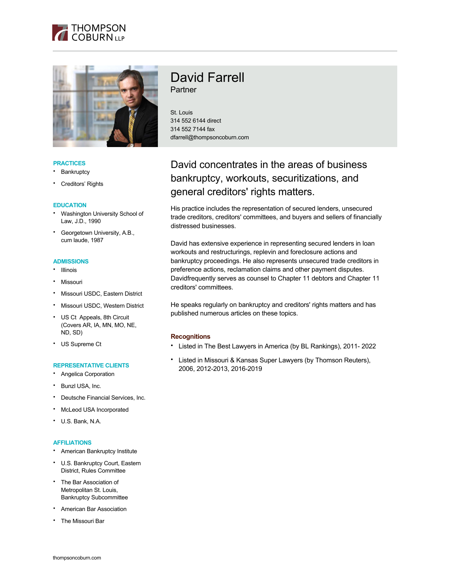



## **PRACTICES**

- **Bankruptcy**
- Creditors' Rights

### **EDUCATION**

- Washington University School of Law, J.D., 1990
- Georgetown University, A.B., cum laude, 1987

### **ADMISSIONS**

- Illinois
- Missouri
- Missouri USDC, Eastern District
- Missouri USDC, Western District
- US Ct Appeals, 8th Circuit (Covers AR, IA, MN, MO, NE, ND, SD)
- US Supreme Ct

## **REPRESENTATIVE CLIENTS**

- Angelica Corporation
- Bunzl USA, Inc.
- Deutsche Financial Services, Inc.
- McLeod USA Incorporated
- U.S. Bank, N.A.

#### **AFFILIATIONS**

- American Bankruptcy Institute
- U.S. Bankruptcy Court, Eastern District, Rules Committee
- The Bar Association of Metropolitan St. Louis, Bankruptcy Subcommittee
- American Bar Association
- The Missouri Bar

# David Farrell Partner

St. Louis 314 552 6144 direct 314 552 7144 fax dfarrell@thompsoncoburn.com

# David concentrates in the areas of business bankruptcy, workouts, securitizations, and general creditors' rights matters.

His practice includes the representation of secured lenders, unsecured trade creditors, creditors' committees, and buyers and sellers of financially distressed businesses.

David has extensive experience in representing secured lenders in loan workouts and restructurings, replevin and foreclosure actions and bankruptcy proceedings. He also represents unsecured trade creditors in preference actions, reclamation claims and other payment disputes. Davidfrequently serves as counsel to Chapter 11 debtors and Chapter 11 creditors' committees.

He speaks regularly on bankruptcy and creditors' rights matters and has published numerous articles on these topics.

# **Recognitions**

- Listed in The Best Lawyers in America (by BL Rankings), 2011- 2022
- Listed in Missouri & Kansas Super Lawyers (by Thomson Reuters), 2006, 2012-2013, 2016-2019